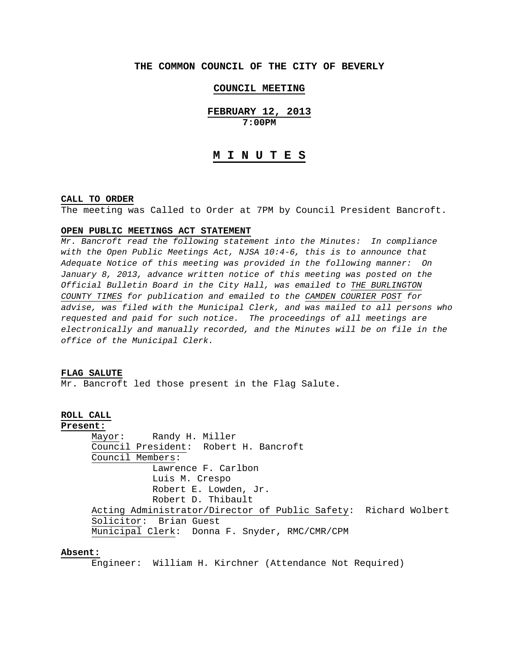# **THE COMMON COUNCIL OF THE CITY OF BEVERLY**

# **COUNCIL MEETING**

**FEBRUARY 12, 2013 7:00PM** 

# **M I N U T E S**

#### **CALL TO ORDER**

The meeting was Called to Order at 7PM by Council President Bancroft.

#### **OPEN PUBLIC MEETINGS ACT STATEMENT**

*Mr. Bancroft read the following statement into the Minutes: In compliance with the Open Public Meetings Act, NJSA 10:4-6, this is to announce that Adequate Notice of this meeting was provided in the following manner: On January 8, 2013, advance written notice of this meeting was posted on the Official Bulletin Board in the City Hall, was emailed to THE BURLINGTON COUNTY TIMES for publication and emailed to the CAMDEN COURIER POST for advise, was filed with the Municipal Clerk, and was mailed to all persons who requested and paid for such notice. The proceedings of all meetings are electronically and manually recorded, and the Minutes will be on file in the office of the Municipal Clerk.* 

#### **FLAG SALUTE**

Mr. Bancroft led those present in the Flag Salute.

# **ROLL CALL**

**Present:**

 Mayor: Randy H. Miller Council President: Robert H. Bancroft Council Members: Lawrence F. Carlbon Luis M. Crespo Robert E. Lowden, Jr. Robert D. Thibault Acting Administrator/Director of Public Safety: Richard Wolbert Solicitor: Brian Guest Municipal Clerk: Donna F. Snyder, RMC/CMR/CPM

# **Absent:**

Engineer: William H. Kirchner (Attendance Not Required)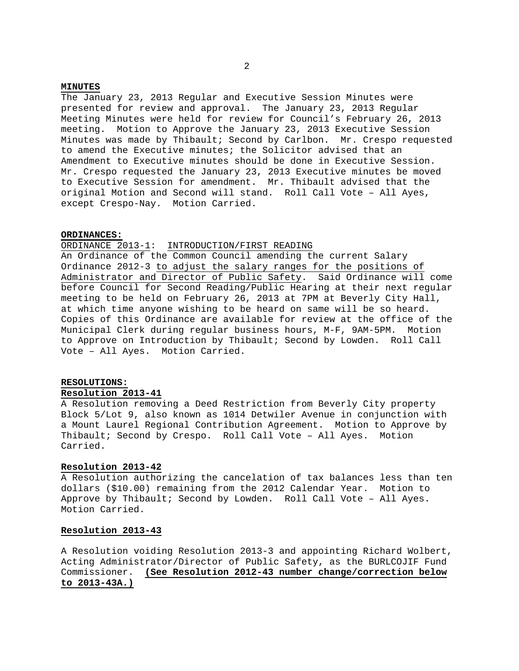#### **MINUTES**

The January 23, 2013 Regular and Executive Session Minutes were presented for review and approval. The January 23, 2013 Regular Meeting Minutes were held for review for Council's February 26, 2013 meeting. Motion to Approve the January 23, 2013 Executive Session Minutes was made by Thibault; Second by Carlbon. Mr. Crespo requested to amend the Executive minutes; the Solicitor advised that an Amendment to Executive minutes should be done in Executive Session. Mr. Crespo requested the January 23, 2013 Executive minutes be moved to Executive Session for amendment. Mr. Thibault advised that the original Motion and Second will stand. Roll Call Vote – All Ayes, except Crespo-Nay. Motion Carried.

# **ORDINANCES:**

# ORDINANCE 2013-1: INTRODUCTION/FIRST READING

An Ordinance of the Common Council amending the current Salary Ordinance 2012-3 to adjust the salary ranges for the positions of Administrator and Director of Public Safety. Said Ordinance will come before Council for Second Reading/Public Hearing at their next regular meeting to be held on February 26, 2013 at 7PM at Beverly City Hall, at which time anyone wishing to be heard on same will be so heard. Copies of this Ordinance are available for review at the office of the Municipal Clerk during regular business hours, M-F, 9AM-5PM. Motion to Approve on Introduction by Thibault; Second by Lowden. Roll Call Vote – All Ayes. Motion Carried.

# **RESOLUTIONS:**

# **Resolution 2013-41**

A Resolution removing a Deed Restriction from Beverly City property Block 5/Lot 9, also known as 1014 Detwiler Avenue in conjunction with a Mount Laurel Regional Contribution Agreement. Motion to Approve by Thibault; Second by Crespo. Roll Call Vote – All Ayes. Motion Carried.

## **Resolution 2013-42**

A Resolution authorizing the cancelation of tax balances less than ten dollars (\$10.00) remaining from the 2012 Calendar Year. Motion to Approve by Thibault; Second by Lowden. Roll Call Vote – All Ayes. Motion Carried.

# **Resolution 2013-43**

A Resolution voiding Resolution 2013-3 and appointing Richard Wolbert, Acting Administrator/Director of Public Safety, as the BURLCOJIF Fund Commissioner. **(See Resolution 2012-43 number change/correction below to 2013-43A.)**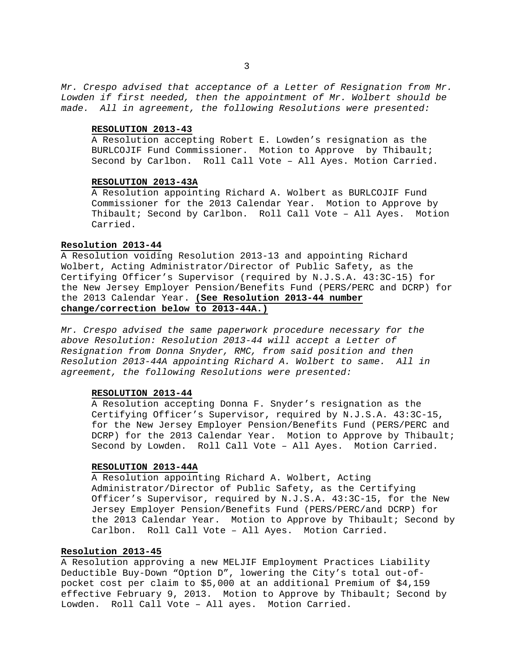*Mr. Crespo advised that acceptance of a Letter of Resignation from Mr. Lowden if first needed, then the appointment of Mr. Wolbert should be made. All in agreement, the following Resolutions were presented:* 

# **RESOLUTION 2013-43**

A Resolution accepting Robert E. Lowden's resignation as the BURLCOJIF Fund Commissioner. Motion to Approve by Thibault; Second by Carlbon. Roll Call Vote – All Ayes. Motion Carried.

# **RESOLUTION 2013-43A**

 A Resolution appointing Richard A. Wolbert as BURLCOJIF Fund Commissioner for the 2013 Calendar Year. Motion to Approve by Thibault; Second by Carlbon. Roll Call Vote – All Ayes. Motion Carried.

# **Resolution 2013-44**

A Resolution voiding Resolution 2013-13 and appointing Richard Wolbert, Acting Administrator/Director of Public Safety, as the Certifying Officer's Supervisor (required by N.J.S.A. 43:3C-15) for the New Jersey Employer Pension/Benefits Fund (PERS/PERC and DCRP) for the 2013 Calendar Year. **(See Resolution 2013-44 number change/correction below to 2013-44A.)**

*Mr. Crespo advised the same paperwork procedure necessary for the above Resolution: Resolution 2013-44 will accept a Letter of Resignation from Donna Snyder, RMC, from said position and then Resolution 2013-44A appointing Richard A. Wolbert to same. All in agreement, the following Resolutions were presented:* 

### **RESOLUTION 2013-44**

A Resolution accepting Donna F. Snyder's resignation as the Certifying Officer's Supervisor, required by N.J.S.A. 43:3C-15, for the New Jersey Employer Pension/Benefits Fund (PERS/PERC and DCRP) for the 2013 Calendar Year. Motion to Approve by Thibault; Second by Lowden. Roll Call Vote – All Ayes. Motion Carried.

## **RESOLUTION 2013-44A**

A Resolution appointing Richard A. Wolbert, Acting Administrator/Director of Public Safety, as the Certifying Officer's Supervisor, required by N.J.S.A. 43:3C-15, for the New Jersey Employer Pension/Benefits Fund (PERS/PERC/and DCRP) for the 2013 Calendar Year. Motion to Approve by Thibault; Second by Carlbon. Roll Call Vote – All Ayes. Motion Carried.

# **Resolution 2013-45**

A Resolution approving a new MELJIF Employment Practices Liability Deductible Buy-Down "Option D", lowering the City's total out-ofpocket cost per claim to \$5,000 at an additional Premium of \$4,159 effective February 9, 2013. Motion to Approve by Thibault; Second by Lowden. Roll Call Vote – All ayes. Motion Carried.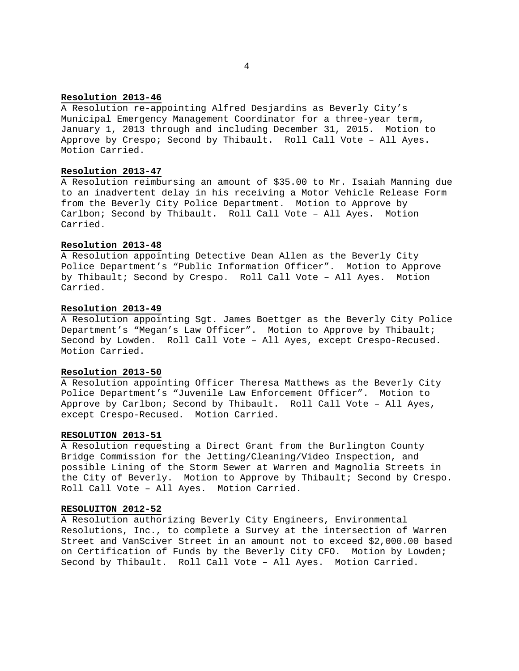# **Resolution 2013-46**

A Resolution re-appointing Alfred Desjardins as Beverly City's Municipal Emergency Management Coordinator for a three-year term, January 1, 2013 through and including December 31, 2015. Motion to Approve by Crespo; Second by Thibault. Roll Call Vote – All Ayes. Motion Carried.

# **Resolution 2013-47**

A Resolution reimbursing an amount of \$35.00 to Mr. Isaiah Manning due to an inadvertent delay in his receiving a Motor Vehicle Release Form from the Beverly City Police Department. Motion to Approve by Carlbon; Second by Thibault. Roll Call Vote – All Ayes. Motion Carried.

### **Resolution 2013-48**

A Resolution appointing Detective Dean Allen as the Beverly City Police Department's "Public Information Officer". Motion to Approve by Thibault; Second by Crespo. Roll Call Vote – All Ayes. Motion Carried.

# **Resolution 2013-49**

A Resolution appointing Sgt. James Boettger as the Beverly City Police Department's "Megan's Law Officer". Motion to Approve by Thibault; Second by Lowden. Roll Call Vote – All Ayes, except Crespo-Recused. Motion Carried.

# **Resolution 2013-50**

A Resolution appointing Officer Theresa Matthews as the Beverly City Police Department's "Juvenile Law Enforcement Officer". Motion to Approve by Carlbon; Second by Thibault. Roll Call Vote – All Ayes, except Crespo-Recused. Motion Carried.

## **RESOLUTION 2013-51**

A Resolution requesting a Direct Grant from the Burlington County Bridge Commission for the Jetting/Cleaning/Video Inspection, and possible Lining of the Storm Sewer at Warren and Magnolia Streets in the City of Beverly. Motion to Approve by Thibault; Second by Crespo. Roll Call Vote – All Ayes. Motion Carried.

## **RESOLUITON 2012-52**

A Resolution authorizing Beverly City Engineers, Environmental Resolutions, Inc., to complete a Survey at the intersection of Warren Street and VanSciver Street in an amount not to exceed \$2,000.00 based on Certification of Funds by the Beverly City CFO. Motion by Lowden; Second by Thibault. Roll Call Vote – All Ayes. Motion Carried.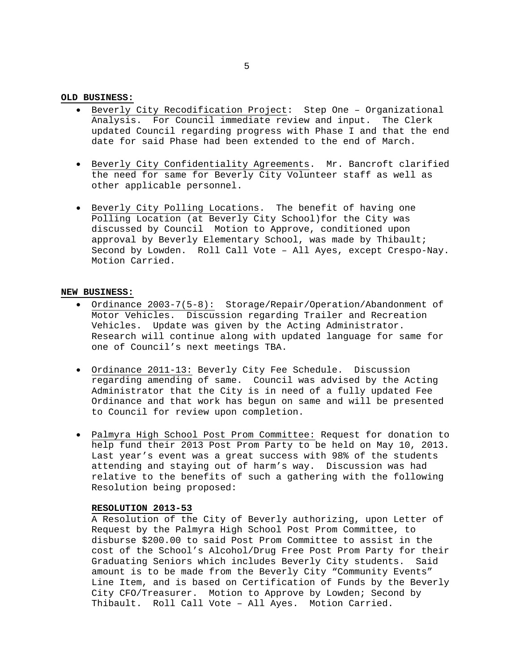# **OLD BUSINESS:**

- Beverly City Recodification Project: Step One Organizational Analysis. For Council immediate review and input. The Clerk updated Council regarding progress with Phase I and that the end date for said Phase had been extended to the end of March.
- Beverly City Confidentiality Agreements. Mr. Bancroft clarified the need for same for Beverly City Volunteer staff as well as other applicable personnel.
- Beverly City Polling Locations. The benefit of having one Polling Location (at Beverly City School)for the City was discussed by Council Motion to Approve, conditioned upon approval by Beverly Elementary School, was made by Thibault; Second by Lowden. Roll Call Vote – All Ayes, except Crespo-Nay. Motion Carried.

# **NEW BUSINESS:**

- Ordinance 2003-7(5-8): Storage/Repair/Operation/Abandonment of Motor Vehicles. Discussion regarding Trailer and Recreation Vehicles. Update was given by the Acting Administrator. Research will continue along with updated language for same for one of Council's next meetings TBA.
- Ordinance 2011-13: Beverly City Fee Schedule. Discussion regarding amending of same. Council was advised by the Acting Administrator that the City is in need of a fully updated Fee Ordinance and that work has begun on same and will be presented to Council for review upon completion.
- Palmyra High School Post Prom Committee: Request for donation to help fund their 2013 Post Prom Party to be held on May 10, 2013. Last year's event was a great success with 98% of the students attending and staying out of harm's way. Discussion was had relative to the benefits of such a gathering with the following Resolution being proposed:

# **RESOLUTION 2013-53**

A Resolution of the City of Beverly authorizing, upon Letter of Request by the Palmyra High School Post Prom Committee, to disburse \$200.00 to said Post Prom Committee to assist in the cost of the School's Alcohol/Drug Free Post Prom Party for their Graduating Seniors which includes Beverly City students. Said amount is to be made from the Beverly City "Community Events" Line Item, and is based on Certification of Funds by the Beverly City CFO/Treasurer. Motion to Approve by Lowden; Second by Thibault. Roll Call Vote – All Ayes. Motion Carried.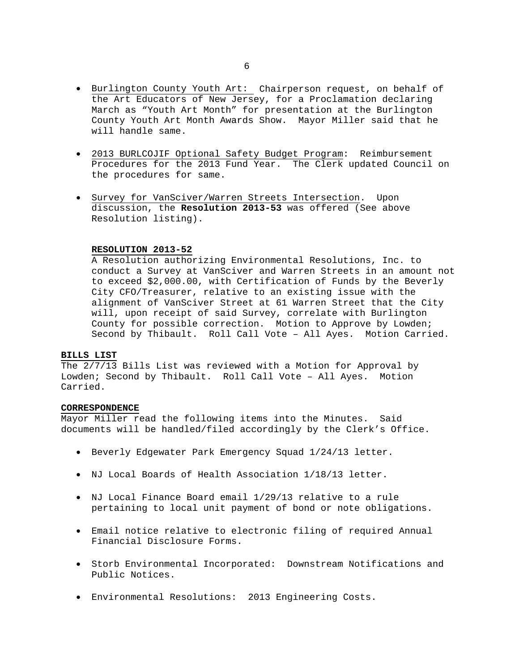- Burlington County Youth Art: Chairperson request, on behalf of the Art Educators of New Jersey, for a Proclamation declaring March as "Youth Art Month" for presentation at the Burlington County Youth Art Month Awards Show. Mayor Miller said that he will handle same.
- 2013 BURLCOJIF Optional Safety Budget Program: Reimbursement Procedures for the 2013 Fund Year. The Clerk updated Council on the procedures for same.
- Survey for VanSciver/Warren Streets Intersection. Upon discussion, the **Resolution 2013-53** was offered (See above Resolution listing).

# **RESOLUTION 2013-52**

A Resolution authorizing Environmental Resolutions, Inc. to conduct a Survey at VanSciver and Warren Streets in an amount not to exceed \$2,000.00, with Certification of Funds by the Beverly City CFO/Treasurer, relative to an existing issue with the alignment of VanSciver Street at 61 Warren Street that the City will, upon receipt of said Survey, correlate with Burlington County for possible correction. Motion to Approve by Lowden; Second by Thibault. Roll Call Vote – All Ayes. Motion Carried.

# **BILLS LIST**

The 2/7/13 Bills List was reviewed with a Motion for Approval by Lowden; Second by Thibault. Roll Call Vote – All Ayes. Motion Carried.

# **CORRESPONDENCE**

Mayor Miller read the following items into the Minutes. Said documents will be handled/filed accordingly by the Clerk's Office.

- Beverly Edgewater Park Emergency Squad 1/24/13 letter.
- NJ Local Boards of Health Association 1/18/13 letter.
- NJ Local Finance Board email 1/29/13 relative to a rule pertaining to local unit payment of bond or note obligations.
- Email notice relative to electronic filing of required Annual Financial Disclosure Forms.
- Storb Environmental Incorporated: Downstream Notifications and Public Notices.
- Environmental Resolutions: 2013 Engineering Costs.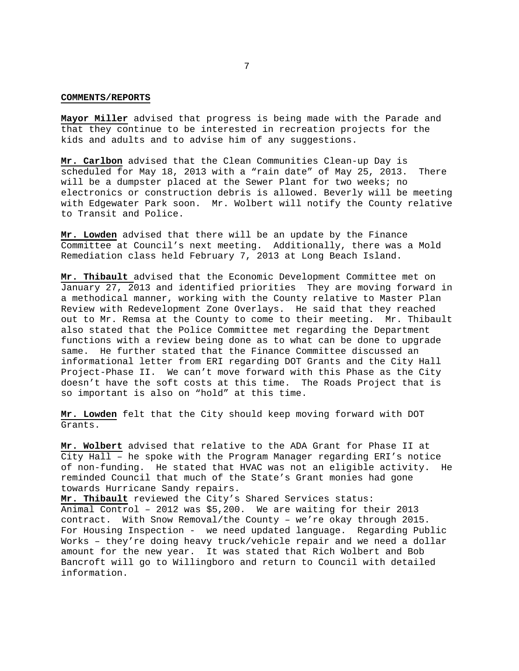#### **COMMENTS/REPORTS**

**Mayor Miller** advised that progress is being made with the Parade and that they continue to be interested in recreation projects for the kids and adults and to advise him of any suggestions.

**Mr. Carlbon** advised that the Clean Communities Clean-up Day is scheduled for May 18, 2013 with a "rain date" of May 25, 2013. There will be a dumpster placed at the Sewer Plant for two weeks; no electronics or construction debris is allowed. Beverly will be meeting with Edgewater Park soon. Mr. Wolbert will notify the County relative to Transit and Police.

**Mr. Lowden** advised that there will be an update by the Finance Committee at Council's next meeting. Additionally, there was a Mold Remediation class held February 7, 2013 at Long Beach Island.

**Mr. Thibault** advised that the Economic Development Committee met on January 27, 2013 and identified priorities They are moving forward in a methodical manner, working with the County relative to Master Plan Review with Redevelopment Zone Overlays. He said that they reached out to Mr. Remsa at the County to come to their meeting. Mr. Thibault also stated that the Police Committee met regarding the Department functions with a review being done as to what can be done to upgrade same. He further stated that the Finance Committee discussed an informational letter from ERI regarding DOT Grants and the City Hall Project-Phase II. We can't move forward with this Phase as the City doesn't have the soft costs at this time. The Roads Project that is so important is also on "hold" at this time.

**Mr. Lowden** felt that the City should keep moving forward with DOT Grants.

**Mr. Wolbert** advised that relative to the ADA Grant for Phase II at City Hall – he spoke with the Program Manager regarding ERI's notice of non-funding. He stated that HVAC was not an eligible activity. He reminded Council that much of the State's Grant monies had gone towards Hurricane Sandy repairs.

**Mr. Thibault** reviewed the City's Shared Services status: Animal Control – 2012 was \$5,200. We are waiting for their 2013 contract. With Snow Removal/the County – we're okay through 2015. For Housing Inspection - we need updated language. Regarding Public Works – they're doing heavy truck/vehicle repair and we need a dollar amount for the new year. It was stated that Rich Wolbert and Bob Bancroft will go to Willingboro and return to Council with detailed information.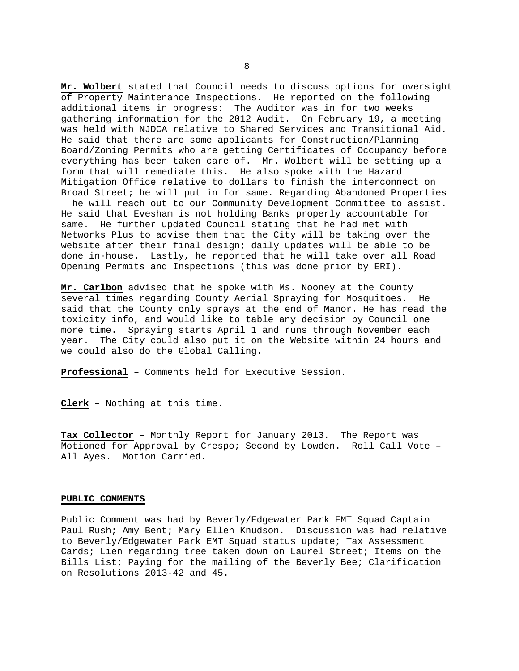**Mr. Wolbert** stated that Council needs to discuss options for oversight of Property Maintenance Inspections. He reported on the following additional items in progress: The Auditor was in for two weeks gathering information for the 2012 Audit. On February 19, a meeting was held with NJDCA relative to Shared Services and Transitional Aid. He said that there are some applicants for Construction/Planning Board/Zoning Permits who are getting Certificates of Occupancy before everything has been taken care of. Mr. Wolbert will be setting up a form that will remediate this. He also spoke with the Hazard Mitigation Office relative to dollars to finish the interconnect on Broad Street; he will put in for same. Regarding Abandoned Properties – he will reach out to our Community Development Committee to assist. He said that Evesham is not holding Banks properly accountable for same. He further updated Council stating that he had met with Networks Plus to advise them that the City will be taking over the website after their final design; daily updates will be able to be done in-house. Lastly, he reported that he will take over all Road Opening Permits and Inspections (this was done prior by ERI).

**Mr. Carlbon** advised that he spoke with Ms. Nooney at the County several times regarding County Aerial Spraying for Mosquitoes. He said that the County only sprays at the end of Manor. He has read the toxicity info, and would like to table any decision by Council one more time. Spraying starts April 1 and runs through November each year. The City could also put it on the Website within 24 hours and we could also do the Global Calling.

**Professional** – Comments held for Executive Session.

**Clerk** – Nothing at this time.

**Tax Collector** – Monthly Report for January 2013. The Report was Motioned for Approval by Crespo; Second by Lowden. Roll Call Vote – All Ayes. Motion Carried.

## **PUBLIC COMMENTS**

Public Comment was had by Beverly/Edgewater Park EMT Squad Captain Paul Rush; Amy Bent; Mary Ellen Knudson. Discussion was had relative to Beverly/Edgewater Park EMT Squad status update; Tax Assessment Cards; Lien regarding tree taken down on Laurel Street; Items on the Bills List; Paying for the mailing of the Beverly Bee; Clarification on Resolutions 2013-42 and 45.